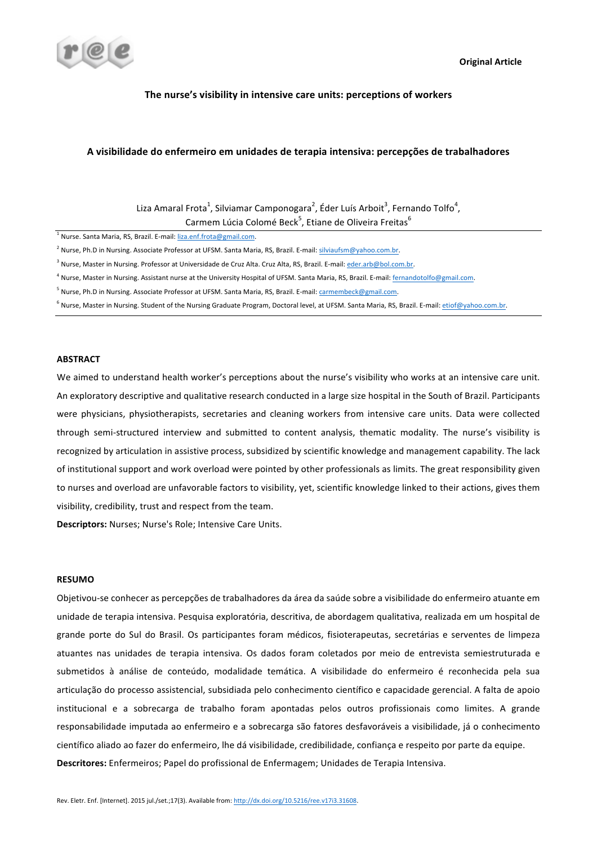

### The nurse's visibility in intensive care units: perceptions of workers

## **A visibilidade do enfermeiro em unidades de terapia intensiva: percepções de trabalhadores**

Liza Amaral Frota<sup>1</sup>, Silviamar Camponogara<sup>2</sup>, Éder Luís Arboit<sup>3</sup>, Fernando Tolfo<sup>4</sup>, Carmem Lúcia Colomé Beck<sup>5</sup>, Etiane de Oliveira Freitas<sup>6</sup>

 $1$  Nurse. Santa Maria, RS, Brazil. E-mail:  $l$ iza.enf.frota@gmail.com.

<sup>2</sup> Nurse, Ph.D in Nursing. Associate Professor at UFSM. Santa Maria, RS, Brazil. E-mail: silviaufsm@yahoo.com.br.

<sup>3</sup> Nurse, Master in Nursing. Professor at Universidade de Cruz Alta. Cruz Alta, RS, Brazil. E-mail: eder.arb@bol.com.br.

<sup>4</sup> Nurse, Master in Nursing. Assistant nurse at the University Hospital of UFSM. Santa Maria, RS, Brazil. E-mail: fernandotolfo@gmail.com.

<sup>5</sup> Nurse, Ph.D in Nursing. Associate Professor at UFSM. Santa Maria, RS, Brazil. E-mail: carmembeck@gmail.com.

 $6$  Nurse, Master in Nursing. Student of the Nursing Graduate Program, Doctoral level, at UFSM. Santa Maria, RS, Brazil. E-mail: etiof@yahoo.com.br.

## **ABSTRACT**

We aimed to understand health worker's perceptions about the nurse's visibility who works at an intensive care unit. An exploratory descriptive and qualitative research conducted in a large size hospital in the South of Brazil. Participants were physicians, physiotherapists, secretaries and cleaning workers from intensive care units. Data were collected through semi-structured interview and submitted to content analysis, thematic modality. The nurse's visibility is recognized by articulation in assistive process, subsidized by scientific knowledge and management capability. The lack of institutional support and work overload were pointed by other professionals as limits. The great responsibility given to nurses and overload are unfavorable factors to visibility, yet, scientific knowledge linked to their actions, gives them visibility, credibility, trust and respect from the team.

**Descriptors:** Nurses: Nurse's Role: Intensive Care Units.

#### **RESUMO**

Objetivou-se conhecer as percepções de trabalhadores da área da saúde sobre a visibilidade do enfermeiro atuante em unidade de terapia intensiva. Pesquisa exploratória, descritiva, de abordagem qualitativa, realizada em um hospital de grande porte do Sul do Brasil. Os participantes foram médicos, fisioterapeutas, secretárias e serventes de limpeza atuantes nas unidades de terapia intensiva. Os dados foram coletados por meio de entrevista semiestruturada e submetidos à análise de conteúdo, modalidade temática. A visibilidade do enfermeiro é reconhecida pela sua articulação do processo assistencial, subsidiada pelo conhecimento científico e capacidade gerencial. A falta de apoio institucional e a sobrecarga de trabalho foram apontadas pelos outros profissionais como limites. A grande responsabilidade imputada ao enfermeiro e a sobrecarga são fatores desfavoráveis a visibilidade, já o conhecimento científico aliado ao fazer do enfermeiro, lhe dá visibilidade, credibilidade, confiança e respeito por parte da equipe. Descritores: Enfermeiros; Papel do profissional de Enfermagem; Unidades de Terapia Intensiva.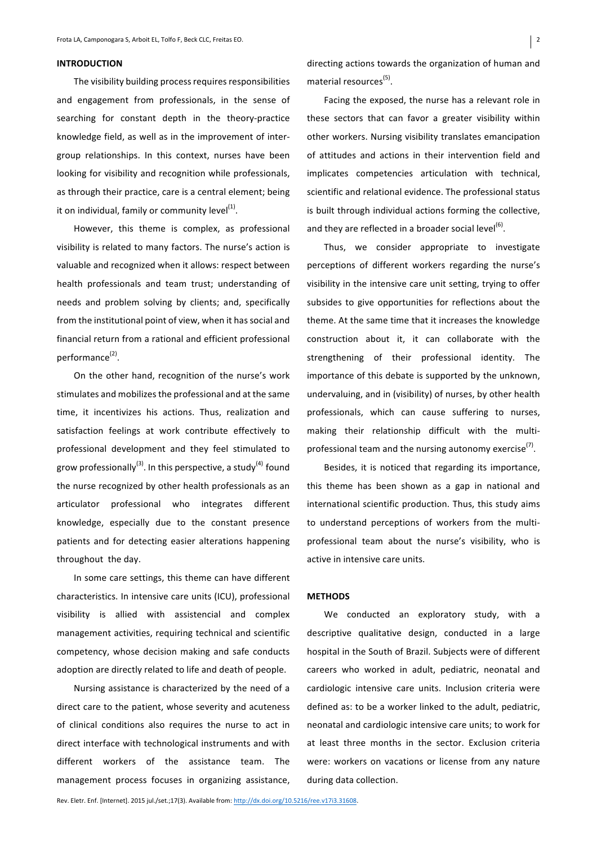#### **INTRODUCTION**

The visibility building process requires responsibilities and engagement from professionals, in the sense of searching for constant depth in the theory-practice knowledge field, as well as in the improvement of intergroup relationships. In this context, nurses have been looking for visibility and recognition while professionals, as through their practice, care is a central element; being it on individual, family or community  $level<sup>(1)</sup>$ .

However, this theme is complex, as professional visibility is related to many factors. The nurse's action is valuable and recognized when it allows: respect between health professionals and team trust; understanding of needs and problem solving by clients; and, specifically from the institutional point of view, when it has social and financial return from a rational and efficient professional performance<sup>(2)</sup>.

On the other hand, recognition of the nurse's work stimulates and mobilizes the professional and at the same time, it incentivizes his actions. Thus, realization and satisfaction feelings at work contribute effectively to professional development and they feel stimulated to grow professionally<sup>(3)</sup>. In this perspective, a study<sup>(4)</sup> found the nurse recognized by other health professionals as an articulator professional who integrates different knowledge, especially due to the constant presence patients and for detecting easier alterations happening throughout the day.

In some care settings, this theme can have different characteristics. In intensive care units (ICU), professional visibility is allied with assistencial and complex management activities, requiring technical and scientific competency, whose decision making and safe conducts adoption are directly related to life and death of people.

Nursing assistance is characterized by the need of a direct care to the patient, whose severity and acuteness of clinical conditions also requires the nurse to act in direct interface with technological instruments and with different workers of the assistance team. The management process focuses in organizing assistance,

directing actions towards the organization of human and material resources $<sup>(5)</sup>$ .</sup>

Facing the exposed, the nurse has a relevant role in these sectors that can favor a greater visibility within other workers. Nursing visibility translates emancipation of attitudes and actions in their intervention field and implicates competencies articulation with technical, scientific and relational evidence. The professional status is built through individual actions forming the collective, and they are reflected in a broader social level<sup>(6)</sup>.

Thus, we consider appropriate to investigate perceptions of different workers regarding the nurse's visibility in the intensive care unit setting, trying to offer subsides to give opportunities for reflections about the theme. At the same time that it increases the knowledge construction about it, it can collaborate with the strengthening of their professional identity. The importance of this debate is supported by the unknown, undervaluing, and in (visibility) of nurses, by other health professionals, which can cause suffering to nurses, making their relationship difficult with the multiprofessional team and the nursing autonomy exercise $^{(7)}$ .

Besides, it is noticed that regarding its importance, this theme has been shown as a gap in national and international scientific production. Thus, this study aims to understand perceptions of workers from the multiprofessional team about the nurse's visibility, who is active in intensive care units.

#### **METHODS**

We conducted an exploratory study, with a descriptive qualitative design, conducted in a large hospital in the South of Brazil. Subjects were of different careers who worked in adult, pediatric, neonatal and cardiologic intensive care units. Inclusion criteria were defined as: to be a worker linked to the adult, pediatric, neonatal and cardiologic intensive care units; to work for at least three months in the sector. Exclusion criteria were: workers on vacations or license from any nature during data collection.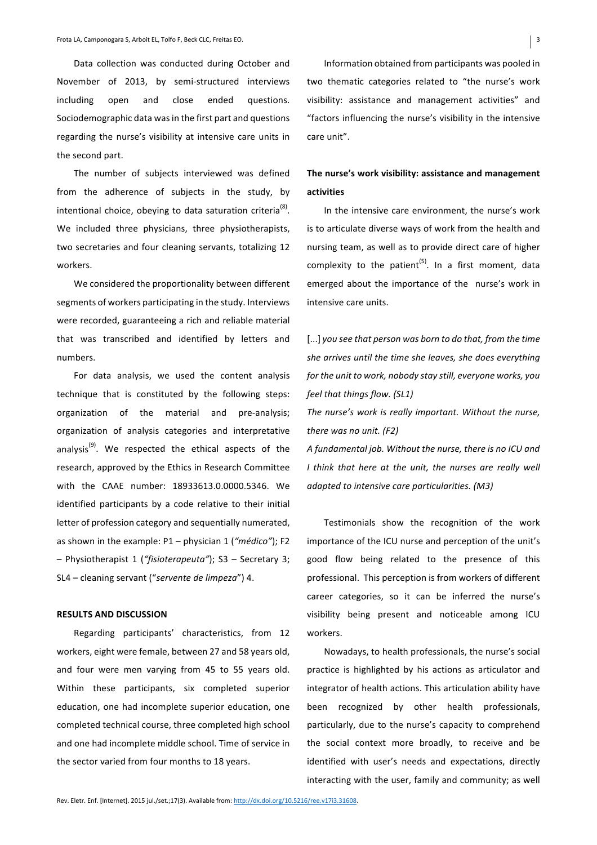Data collection was conducted during October and November of 2013, by semi-structured interviews including open and close ended questions. Sociodemographic data was in the first part and questions regarding the nurse's visibility at intensive care units in the second part.

The number of subjects interviewed was defined from the adherence of subjects in the study, by intentional choice, obeying to data saturation criteria<sup>(8)</sup>. We included three physicians, three physiotherapists, two secretaries and four cleaning servants, totalizing 12 workers. 

We considered the proportionality between different segments of workers participating in the study. Interviews were recorded, guaranteeing a rich and reliable material that was transcribed and identified by letters and numbers. 

For data analysis, we used the content analysis technique that is constituted by the following steps: organization of the material and pre-analysis; organization of analysis categories and interpretative analysis<sup>(9)</sup>. We respected the ethical aspects of the research, approved by the Ethics in Research Committee with the CAAE number: 18933613.0.0000.5346. We identified participants by a code relative to their initial letter of profession category and sequentially numerated, as shown in the example: P1 – physician 1 ("*médico*"); F2 – Physiotherapist 1 (*"fisioterapeuta"*); S3 – Secretary 3; SL4 – cleaning servant ("servente de limpeza") 4.

## **RESULTS AND DISCUSSION**

Regarding participants' characteristics, from 12 workers, eight were female, between 27 and 58 years old, and four were men varying from 45 to 55 years old. Within these participants, six completed superior education, one had incomplete superior education, one completed technical course, three completed high school and one had incomplete middle school. Time of service in the sector varied from four months to 18 years.

Information obtained from participants was pooled in two thematic categories related to "the nurse's work visibility: assistance and management activities" and "factors influencing the nurse's visibility in the intensive care unit".

# The nurse's work visibility: assistance and management **activities**

In the intensive care environment, the nurse's work is to articulate diverse ways of work from the health and nursing team, as well as to provide direct care of higher complexity to the patient<sup>(5)</sup>. In a first moment, data emerged about the importance of the nurse's work in intensive care units.

[...] you see that person was born to do that, from the time she arrives until the time she leaves, she does everything *for the unit to work, nobody stay still, everyone works, you feel that things flow. (SL1)*

The nurse's work is really important. Without the nurse, *there* was no unit. (F2)

A fundamental job. Without the nurse, there is no ICU and *I* think that here at the unit, the nurses are really well *adapted to intensive care particularities.* (M3)

Testimonials show the recognition of the work importance of the ICU nurse and perception of the unit's good flow being related to the presence of this professional. This perception is from workers of different career categories, so it can be inferred the nurse's visibility being present and noticeable among ICU workers. 

Nowadays, to health professionals, the nurse's social practice is highlighted by his actions as articulator and integrator of health actions. This articulation ability have been recognized by other health professionals, particularly, due to the nurse's capacity to comprehend the social context more broadly, to receive and be identified with user's needs and expectations, directly interacting with the user, family and community; as well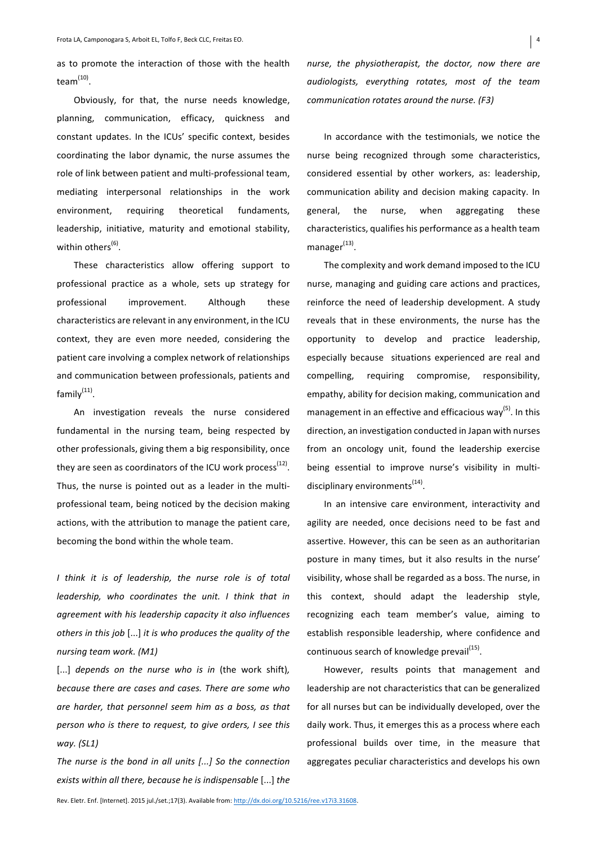as to promote the interaction of those with the health team<sup>(10)</sup>.

Obviously, for that, the nurse needs knowledge, planning, communication, efficacy, quickness and constant updates. In the ICUs' specific context, besides coordinating the labor dynamic, the nurse assumes the role of link between patient and multi-professional team, mediating interpersonal relationships in the work environment, requiring theoretical fundaments, leadership, initiative, maturity and emotional stability, within others<sup>(6)</sup>.

These characteristics allow offering support to professional practice as a whole, sets up strategy for professional improvement. Although these characteristics are relevant in any environment, in the ICU context, they are even more needed, considering the patient care involving a complex network of relationships and communication between professionals, patients and  $familv<sup>(11)</sup>$ .

An investigation reveals the nurse considered fundamental in the nursing team, being respected by other professionals, giving them a big responsibility, once they are seen as coordinators of the ICU work process<sup>(12)</sup>. Thus, the nurse is pointed out as a leader in the multiprofessional team, being noticed by the decision making actions, with the attribution to manage the patient care, becoming the bond within the whole team.

*I* think it is of leadership, the nurse role is of total *leadership, who coordinates the unit. I think that in* agreement with his leadership capacity it also influences *others in this job* [...] *it is who produces the quality of the nursing team work. (M1)*

[...] *depends* on the nurse who is in (the work shift), *because there are cases and cases. There are some who* are harder, that personnel seem him as a boss, as that *person who is there to request, to give orders, I see this way. (SL1)*

*The nurse is the bond in all units [...]* So the connection *exists* within all there, because he is indispensable [...] the *nurse, the physiotherapist, the doctor, now there are audiologists, everything rotates, most of the team communication rotates around the nurse.* (F3)

In accordance with the testimonials, we notice the nurse being recognized through some characteristics, considered essential by other workers, as: leadership, communication ability and decision making capacity. In general, the nurse, when aggregating these characteristics, qualifies his performance as a health team manage $r^{(13)}$ .

The complexity and work demand imposed to the ICU nurse, managing and guiding care actions and practices, reinforce the need of leadership development. A study reveals that in these environments, the nurse has the opportunity to develop and practice leadership, especially because situations experienced are real and compelling, requiring compromise, responsibility, empathy, ability for decision making, communication and management in an effective and efficacious  $way^{(5)}$ . In this direction, an investigation conducted in Japan with nurses from an oncology unit, found the leadership exercise being essential to improve nurse's visibility in multidisciplinary environments $^{(14)}$ .

In an intensive care environment, interactivity and agility are needed, once decisions need to be fast and assertive. However, this can be seen as an authoritarian posture in many times, but it also results in the nurse' visibility, whose shall be regarded as a boss. The nurse, in this context, should adapt the leadership style, recognizing each team member's value, aiming to establish responsible leadership, where confidence and continuous search of knowledge prevail<sup>(15)</sup>.

However, results points that management and leadership are not characteristics that can be generalized for all nurses but can be individually developed, over the daily work. Thus, it emerges this as a process where each professional builds over time, in the measure that aggregates peculiar characteristics and develops his own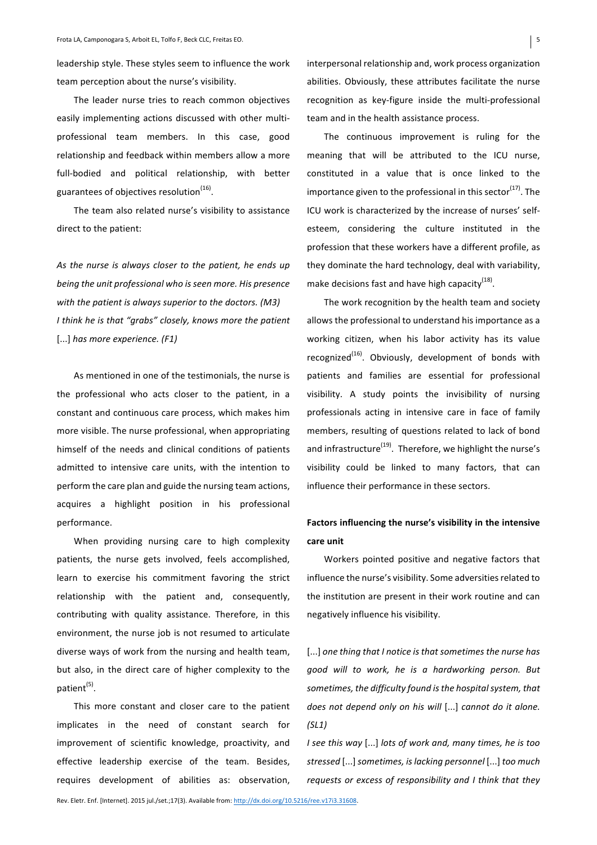leadership style. These styles seem to influence the work team perception about the nurse's visibility.

The leader nurse tries to reach common objectives easily implementing actions discussed with other multiprofessional team members. In this case, good relationship and feedback within members allow a more full-bodied and political relationship, with better guarantees of objectives resolution $<sup>(16)</sup>$ .</sup>

The team also related nurse's visibility to assistance direct to the patient:

As the nurse is always closer to the patient, he ends up *being the unit professional who is seen more. His presence* with the patient is always superior to the doctors. (M3) *I* think he is that "grabs" closely, knows more the patient [...] *has more experience. (F1)*

As mentioned in one of the testimonials, the nurse is the professional who acts closer to the patient, in a constant and continuous care process, which makes him more visible. The nurse professional, when appropriating himself of the needs and clinical conditions of patients admitted to intensive care units, with the intention to perform the care plan and guide the nursing team actions, acquires a highlight position in his professional performance. 

When providing nursing care to high complexity patients, the nurse gets involved, feels accomplished, learn to exercise his commitment favoring the strict relationship with the patient and, consequently, contributing with quality assistance. Therefore, in this environment, the nurse job is not resumed to articulate diverse ways of work from the nursing and health team, but also, in the direct care of higher complexity to the  $patient<sup>(5)</sup>$ .

This more constant and closer care to the patient implicates in the need of constant search for improvement of scientific knowledge, proactivity, and effective leadership exercise of the team. Besides, requires development of abilities as: observation,

interpersonal relationship and, work process organization abilities. Obviously, these attributes facilitate the nurse recognition as key-figure inside the multi-professional team and in the health assistance process.

The continuous improvement is ruling for the meaning that will be attributed to the ICU nurse, constituted in a value that is once linked to the importance given to the professional in this sector<sup>(17)</sup>. The ICU work is characterized by the increase of nurses' selfesteem, considering the culture instituted in the profession that these workers have a different profile, as they dominate the hard technology, deal with variability, make decisions fast and have high capacity<sup>(18)</sup>.

The work recognition by the health team and society allows the professional to understand his importance as a working citizen, when his labor activity has its value recognized<sup>(16)</sup>. Obviously, development of bonds with patients and families are essential for professional visibility. A study points the invisibility of nursing professionals acting in intensive care in face of family members, resulting of questions related to lack of bond and infrastructure $^{(19)}$ . Therefore, we highlight the nurse's visibility could be linked to many factors, that can influence their performance in these sectors.

# Factors influencing the nurse's visibility in the intensive **care unit**

Workers pointed positive and negative factors that influence the nurse's visibility. Some adversities related to the institution are present in their work routine and can negatively influence his visibility.

[...] one thing that I notice is that sometimes the nurse has *good will to work, he is a hardworking person. But*  sometimes, the difficulty found is the hospital system, that *does not depend only on his will* [...] *cannot do it alone. (SL1)*

*I* see this way [...] *lots of work and, many times, he is too* stressed [...] sometimes, is lacking personnel [...] too much *requests or excess of responsibility and I think that they*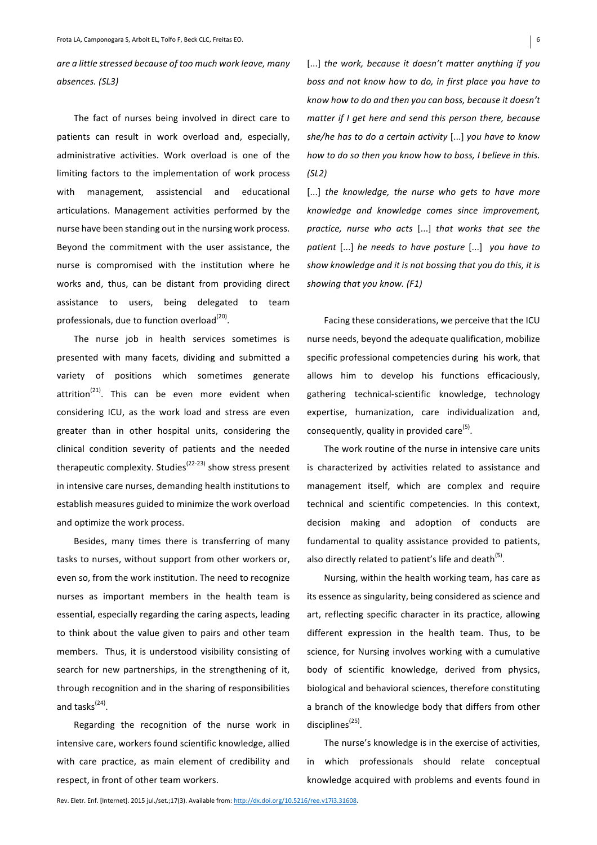are a little stressed because of too much work leave, many *absences. (SL3)*

The fact of nurses being involved in direct care to patients can result in work overload and, especially, administrative activities. Work overload is one of the limiting factors to the implementation of work process with management, assistencial and educational articulations. Management activities performed by the nurse have been standing out in the nursing work process. Beyond the commitment with the user assistance, the nurse is compromised with the institution where he works and, thus, can be distant from providing direct assistance to users, being delegated to team professionals, due to function overload $^{(20)}$ .

The nurse job in health services sometimes is presented with many facets, dividing and submitted a variety of positions which sometimes generate attrition $^{(21)}$ . This can be even more evident when considering ICU, as the work load and stress are even greater than in other hospital units, considering the clinical condition severity of patients and the needed therapeutic complexity. Studies<sup>(22-23)</sup> show stress present in intensive care nurses, demanding health institutions to establish measures guided to minimize the work overload and optimize the work process.

Besides, many times there is transferring of many tasks to nurses, without support from other workers or, even so, from the work institution. The need to recognize nurses as important members in the health team is essential, especially regarding the caring aspects, leading to think about the value given to pairs and other team members. Thus, it is understood visibility consisting of search for new partnerships, in the strengthening of it, through recognition and in the sharing of responsibilities and tasks $^{(24)}$ .

Regarding the recognition of the nurse work in intensive care, workers found scientific knowledge, allied with care practice, as main element of credibility and respect, in front of other team workers.

[...] *the work, because it doesn't matter anything if you boss and not know how to do, in first place you have to know how to do and then you can boss, because it doesn't matter if I get here and send this person there, because* she/he has to do a certain activity [...] you have to know *how to do so then you know how to boss, I believe in this. (SL2)* 

[...] *the knowledge, the nurse who gets to have more knowledge and knowledge comes since improvement, practice, nurse who acts* [...] *that works that see the patient* [...] *he needs to have posture* [...] you have to show knowledge and it is not bossing that you do this, it is *showing that you know.* (F1)

Facing these considerations, we perceive that the ICU nurse needs, beyond the adequate qualification, mobilize specific professional competencies during his work, that allows him to develop his functions efficaciously, gathering technical-scientific knowledge, technology expertise, humanization, care individualization and, consequently, quality in provided care $^{(5)}$ .

The work routine of the nurse in intensive care units is characterized by activities related to assistance and management itself, which are complex and require technical and scientific competencies. In this context, decision making and adoption of conducts are fundamental to quality assistance provided to patients, also directly related to patient's life and death<sup>(5)</sup>.

Nursing, within the health working team, has care as its essence as singularity, being considered as science and art, reflecting specific character in its practice, allowing different expression in the health team. Thus, to be science, for Nursing involves working with a cumulative body of scientific knowledge, derived from physics, biological and behavioral sciences, therefore constituting a branch of the knowledge body that differs from other disciplines $^{(25)}$ .

The nurse's knowledge is in the exercise of activities, in which professionals should relate conceptual knowledge acquired with problems and events found in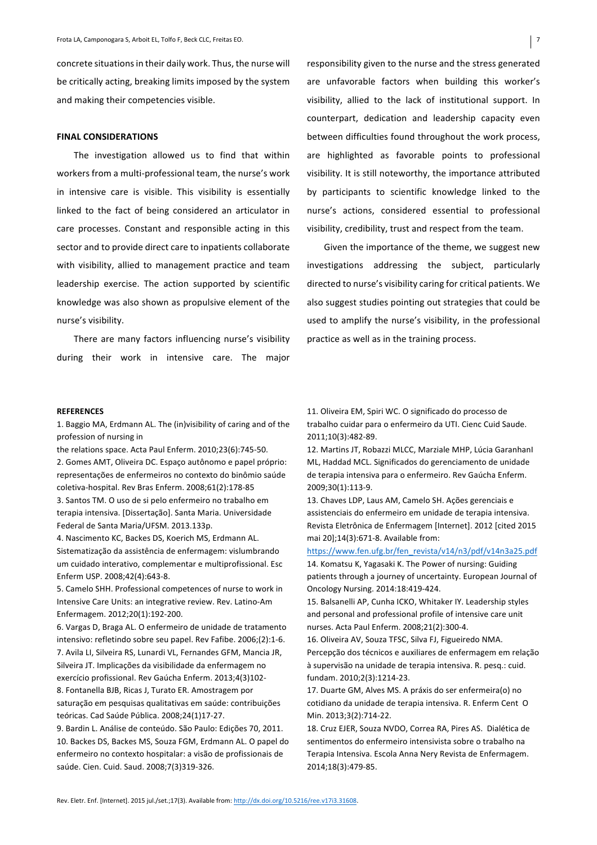concrete situations in their daily work. Thus, the nurse will be critically acting, breaking limits imposed by the system and making their competencies visible.

#### **FINAL CONSIDERATIONS**

The investigation allowed us to find that within workers from a multi-professional team, the nurse's work in intensive care is visible. This visibility is essentially linked to the fact of being considered an articulator in care processes. Constant and responsible acting in this sector and to provide direct care to inpatients collaborate with visibility, allied to management practice and team leadership exercise. The action supported by scientific knowledge was also shown as propulsive element of the nurse's visibility.

There are many factors influencing nurse's visibility during their work in intensive care. The major

responsibility given to the nurse and the stress generated are unfavorable factors when building this worker's visibility, allied to the lack of institutional support. In counterpart, dedication and leadership capacity even between difficulties found throughout the work process, are highlighted as favorable points to professional visibility. It is still noteworthy, the importance attributed by participants to scientific knowledge linked to the nurse's actions, considered essential to professional visibility, credibility, trust and respect from the team.

Given the importance of the theme, we suggest new investigations addressing the subject, particularly directed to nurse's visibility caring for critical patients. We also suggest studies pointing out strategies that could be used to amplify the nurse's visibility, in the professional practice as well as in the training process.

#### **REFERENCES**

1. Baggio MA, Erdmann AL. The (in)visibility of caring and of the profession of nursing in

the relations space. Acta Paul Enferm. 2010;23(6):745-50.

2. Gomes AMT, Oliveira DC. Espaço autônomo e papel próprio: representações de enfermeiros no contexto do binômio saúde coletiva-hospital. Rev Bras Enferm. 2008;61(2):178-85

3. Santos TM. O uso de si pelo enfermeiro no trabalho em terapia intensiva. [Dissertação]. Santa Maria. Universidade Federal de Santa Maria/UFSM. 2013.133p.

4. Nascimento KC, Backes DS, Koerich MS, Erdmann AL. Sistematização da assistência de enfermagem: vislumbrando um cuidado interativo, complementar e multiprofissional. Esc Enferm USP. 2008;42(4):643-8.

5. Camelo SHH. Professional competences of nurse to work in Intensive Care Units: an integrative review. Rev. Latino-Am Enfermagem. 2012;20(1):192-200.

6. Vargas D, Braga AL. O enfermeiro de unidade de tratamento intensivo: refletindo sobre seu papel. Rev Fafibe. 2006;(2):1-6. 7. Avila LI, Silveira RS, Lunardi VL, Fernandes GFM, Mancia JR, Silveira JT. Implicações da visibilidade da enfermagem no exercício profissional. Rev Gaúcha Enferm. 2013;4(3)102-8. Fontanella BJB, Ricas J, Turato ER. Amostragem por saturação em pesquisas qualitativas em saúde: contribuições teóricas. Cad Saúde Pública. 2008;24(1)17-27.

9. Bardin L. Análise de conteúdo. São Paulo: Edições 70, 2011. 10. Backes DS, Backes MS, Souza FGM, Erdmann AL. O papel do enfermeiro no contexto hospitalar: a visão de profissionais de saúde. Cien. Cuid. Saud. 2008;7(3)319-326.

11. Oliveira EM, Spiri WC. O significado do processo de trabalho cuidar para o enfermeiro da UTI. Cienc Cuid Saude. 2011;10(3):482-89.

12. Martins JT, Robazzi MLCC, Marziale MHP, Lúcia GaranhanI ML, Haddad MCL. Significados do gerenciamento de unidade de terapia intensiva para o enfermeiro. Rev Gaúcha Enferm. 2009;30(1):113-9.

13. Chaves LDP, Laus AM, Camelo SH. Ações gerenciais e assistenciais do enfermeiro em unidade de terapia intensiva. Revista Eletrônica de Enfermagem [Internet]. 2012 [cited 2015 mai 201:14(3):671-8. Available from:

https://www.fen.ufg.br/fen\_revista/v14/n3/pdf/v14n3a25.pdf 14. Komatsu K, Yagasaki K. The Power of nursing: Guiding patients through a journey of uncertainty. European Journal of Oncology Nursing. 2014:18:419-424.

15. Balsanelli AP, Cunha ICKO, Whitaker IY. Leadership styles and personal and professional profile of intensive care unit nurses. Acta Paul Enferm. 2008;21(2):300-4.

16. Oliveira AV, Souza TFSC, Silva FJ, Figueiredo NMA. Percepção dos técnicos e auxiliares de enfermagem em relação à supervisão na unidade de terapia intensiva. R. pesq.: cuid. fundam. 2010;2(3):1214-23. 

17. Duarte GM, Alves MS. A práxis do ser enfermeira(o) no cotidiano da unidade de terapia intensiva. R. Enferm Cent O Min. 2013;3(2):714-22.

18. Cruz EJER, Souza NVDO, Correa RA, Pires AS. Dialética de sentimentos do enfermeiro intensivista sobre o trabalho na Terapia Intensiva. Escola Anna Nery Revista de Enfermagem. 2014;18(3):479-85.